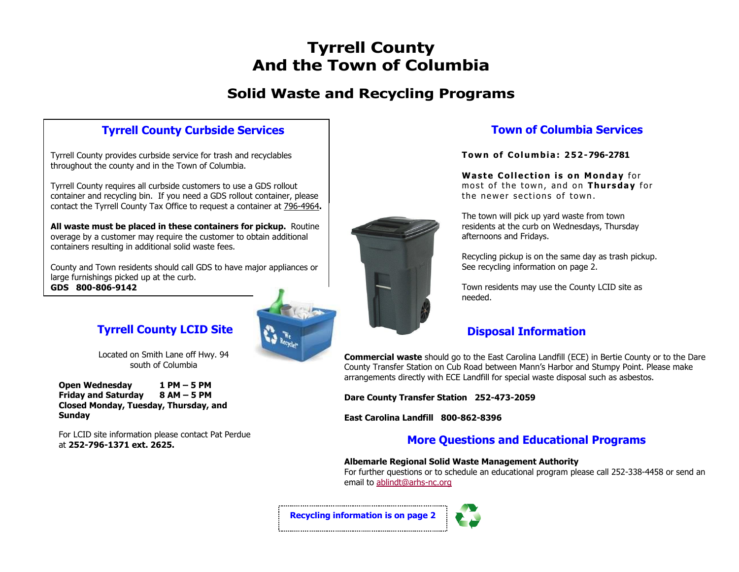# **Tyrrell County And the Town of Columbia**

# **Solid Waste and Recycling Programs**

### **Tyrrell County Curbside Services**

Tyrrell County provides curbside service for trash and recyclables throughout the county and in the Town of Columbia.

Tyrrell County requires all curbside customers to use a GDS rollout container and recycling bin. If you need a GDS rollout container, please contact the Tyrrell County Tax Office to request a container at 796-4964**.** 

**All waste must be placed in these containers for pickup.** Routine overage by a customer may require the customer to obtain additional containers resulting in additional solid waste fees.

County and Town residents should call GDS to have major appliances or large furnishings picked up at the curb. **GDS 800-806-9142**

### **Tyrrell County LCID Site**

Located on Smith Lane off Hwy. 94 south of Columbia

**Open Wednesday 1 PM – 5 PM Friday and Saturday 8 AM – 5 PM Closed Monday, Tuesday, Thursday, and Sunday**

For LCID site information please contact Pat Perdue at **252-796-1371 ext. 2625.** 



#### **Town of Columbia Services**

**Tow n of Col um bia : 2 52-796-2781**

**Waste Collection is on Monday for** most of the town, and on **Thurs da y** for the newer sections of town.

The town will pick up yard waste from town residents at the curb on Wednesdays, Thursday afternoons and Fridays.

Recycling pickup is on the same day as trash pickup. See recycling information on page 2.

Town residents may use the County LCID site as needed.

#### **Disposal Information**

**Commercial waste** should go to the East Carolina Landfill (ECE) in Bertie County or to the Dare County Transfer Station on Cub Road between Mann's Harbor and Stumpy Point. Please make arrangements directly with ECE Landfill for special waste disposal such as asbestos.

**Dare County Transfer Station 252-473-2059**

**East Carolina Landfill 800-862-8396**

### **More Questions and Educational Programs**

#### **Albemarle Regional Solid Waste Management Authority**

For further questions or to schedule an educational program please call 252-338-4458 or send an email to [ablindt@arhs-nc.org](mailto:ablindt@arhs-nc.org)